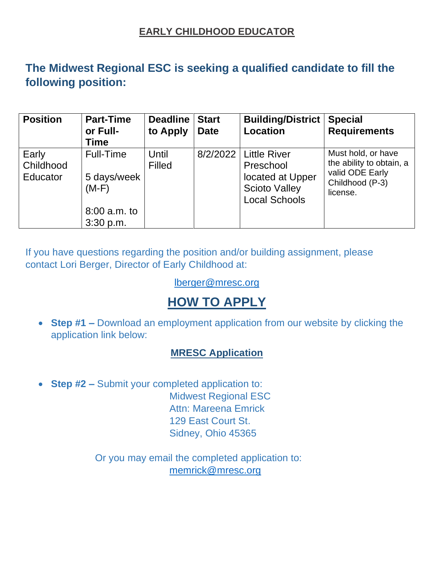### **EARLY CHILDHOOD EDUCATOR**

## **The Midwest Regional ESC is seeking a qualified candidate to fill the following position:**

| <b>Position</b>                | <b>Part-Time</b><br>or Full-<br>Time                             | <b>Deadline</b><br>to Apply | <b>Start</b><br><b>Date</b> | <b>Building/District</b><br><b>Location</b>                                                              | <b>Special</b><br><b>Requirements</b>                                                            |
|--------------------------------|------------------------------------------------------------------|-----------------------------|-----------------------------|----------------------------------------------------------------------------------------------------------|--------------------------------------------------------------------------------------------------|
| Early<br>Childhood<br>Educator | Full-Time<br>5 days/week<br>$(M-F)$<br>8:00 a.m. to<br>3:30 p.m. | Until<br><b>Filled</b>      |                             | 8/2/2022   Little River<br>Preschool<br>located at Upper<br><b>Scioto Valley</b><br><b>Local Schools</b> | Must hold, or have<br>the ability to obtain, a<br>valid ODE Early<br>Childhood (P-3)<br>license. |

If you have questions regarding the position and/or building assignment, please contact Lori Berger, Director of Early Childhood at:

#### [lberger@mresc.org](mailto:lberger@mresc.org)

# **HOW TO APPLY**

• **Step #1 –** Download an employment application from our website by clicking the application link below:

### **[MRESC Application](http://www.mresc.org/wp-content/uploads/2018/09/Employment-Application-September-2018-Version.pdf)**

• **Step #2 –** Submit your completed application to: Midwest Regional ESC Attn: Mareena Emrick 129 East Court St. Sidney, Ohio 45365

> Or you may email the completed application to: [memrick@mresc.org](mailto:memrick@mresc.org)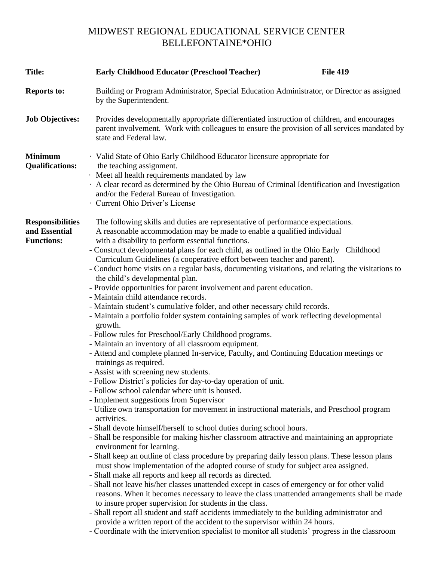### MIDWEST REGIONAL EDUCATIONAL SERVICE CENTER BELLEFONTAINE\*OHIO

| <b>Title:</b>                                                 | <b>Early Childhood Educator (Preschool Teacher)</b>                                                                                                                                                                                                                                                                                                                                                                                                                                                                                                                                                                                                                                                                                                                                                                                                                                                                                                                                                                                                                                                                                                                                                                                                                                                                                                                                                                                                                                                                                                                                                                                                                                                                                                                                                                                                                                                                                                                                                                                                                                                                                                                                                                                                                                                                                                                                                       | <b>File 419</b> |  |  |  |
|---------------------------------------------------------------|-----------------------------------------------------------------------------------------------------------------------------------------------------------------------------------------------------------------------------------------------------------------------------------------------------------------------------------------------------------------------------------------------------------------------------------------------------------------------------------------------------------------------------------------------------------------------------------------------------------------------------------------------------------------------------------------------------------------------------------------------------------------------------------------------------------------------------------------------------------------------------------------------------------------------------------------------------------------------------------------------------------------------------------------------------------------------------------------------------------------------------------------------------------------------------------------------------------------------------------------------------------------------------------------------------------------------------------------------------------------------------------------------------------------------------------------------------------------------------------------------------------------------------------------------------------------------------------------------------------------------------------------------------------------------------------------------------------------------------------------------------------------------------------------------------------------------------------------------------------------------------------------------------------------------------------------------------------------------------------------------------------------------------------------------------------------------------------------------------------------------------------------------------------------------------------------------------------------------------------------------------------------------------------------------------------------------------------------------------------------------------------------------------------|-----------------|--|--|--|
| <b>Reports to:</b>                                            | Building or Program Administrator, Special Education Administrator, or Director as assigned<br>by the Superintendent.                                                                                                                                                                                                                                                                                                                                                                                                                                                                                                                                                                                                                                                                                                                                                                                                                                                                                                                                                                                                                                                                                                                                                                                                                                                                                                                                                                                                                                                                                                                                                                                                                                                                                                                                                                                                                                                                                                                                                                                                                                                                                                                                                                                                                                                                                     |                 |  |  |  |
| <b>Job Objectives:</b>                                        | Provides developmentally appropriate differentiated instruction of children, and encourages<br>parent involvement. Work with colleagues to ensure the provision of all services mandated by<br>state and Federal law.                                                                                                                                                                                                                                                                                                                                                                                                                                                                                                                                                                                                                                                                                                                                                                                                                                                                                                                                                                                                                                                                                                                                                                                                                                                                                                                                                                                                                                                                                                                                                                                                                                                                                                                                                                                                                                                                                                                                                                                                                                                                                                                                                                                     |                 |  |  |  |
| <b>Minimum</b><br><b>Qualifications:</b>                      | · Valid State of Ohio Early Childhood Educator licensure appropriate for<br>the teaching assignment.<br>· Meet all health requirements mandated by law<br>A clear record as determined by the Ohio Bureau of Criminal Identification and Investigation<br>and/or the Federal Bureau of Investigation.<br>· Current Ohio Driver's License                                                                                                                                                                                                                                                                                                                                                                                                                                                                                                                                                                                                                                                                                                                                                                                                                                                                                                                                                                                                                                                                                                                                                                                                                                                                                                                                                                                                                                                                                                                                                                                                                                                                                                                                                                                                                                                                                                                                                                                                                                                                  |                 |  |  |  |
| <b>Responsibilities</b><br>and Essential<br><b>Functions:</b> | The following skills and duties are representative of performance expectations.<br>A reasonable accommodation may be made to enable a qualified individual<br>with a disability to perform essential functions.<br>- Construct developmental plans for each child, as outlined in the Ohio Early Childhood<br>Curriculum Guidelines (a cooperative effort between teacher and parent).<br>- Conduct home visits on a regular basis, documenting visitations, and relating the visitations to<br>the child's developmental plan.<br>- Provide opportunities for parent involvement and parent education.<br>- Maintain child attendance records.<br>- Maintain student's cumulative folder, and other necessary child records.<br>- Maintain a portfolio folder system containing samples of work reflecting developmental<br>growth.<br>- Follow rules for Preschool/Early Childhood programs.<br>- Maintain an inventory of all classroom equipment.<br>- Attend and complete planned In-service, Faculty, and Continuing Education meetings or<br>trainings as required.<br>- Assist with screening new students.<br>- Follow District's policies for day-to-day operation of unit.<br>- Follow school calendar where unit is housed.<br>- Implement suggestions from Supervisor<br>- Utilize own transportation for movement in instructional materials, and Preschool program<br>activities.<br>- Shall devote himself/herself to school duties during school hours.<br>- Shall be responsible for making his/her classroom attractive and maintaining an appropriate<br>environment for learning.<br>- Shall keep an outline of class procedure by preparing daily lesson plans. These lesson plans<br>must show implementation of the adopted course of study for subject area assigned.<br>- Shall make all reports and keep all records as directed.<br>- Shall not leave his/her classes unattended except in cases of emergency or for other valid<br>reasons. When it becomes necessary to leave the class unattended arrangements shall be made<br>to insure proper supervision for students in the class.<br>- Shall report all student and staff accidents immediately to the building administrator and<br>provide a written report of the accident to the supervisor within 24 hours.<br>- Coordinate with the intervention specialist to monitor all students' progress in the classroom |                 |  |  |  |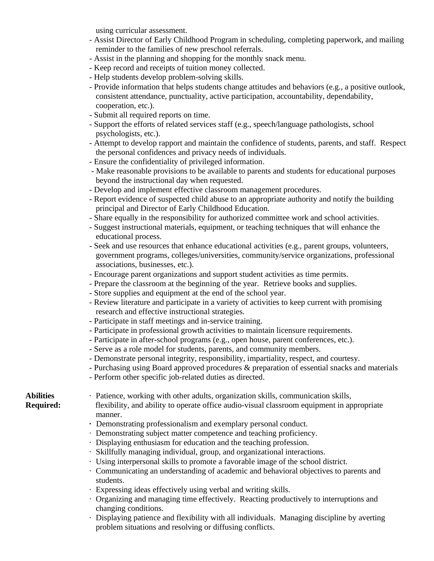using curricular assessment.

- Assist Director of Early Childhood Program in scheduling, completing paperwork, and mailing reminder to the families of new preschool referrals.
- Assist in the planning and shopping for the monthly snack menu.
- Keep record and receipts of tuition money collected.
- Help students develop problem-solving skills.
- Provide information that helps students change attitudes and behaviors (e.g., a positive outlook, consistent attendance, punctuality, active participation, accountability, dependability, cooperation, etc.).
- Submit all required reports on time.
- Support the efforts of related services staff (e.g., speech/language pathologists, school psychologists, etc.).
- Attempt to develop rapport and maintain the confidence of students, parents, and staff. Respect the personal confidences and privacy needs of individuals.
- Ensure the confidentiality of privileged information.
- Make reasonable provisions to be available to parents and students for educational purposes beyond the instructional day when requested.
- Develop and implement effective classroom management procedures.
- Report evidence of suspected child abuse to an appropriate authority and notify the building principal and Director of Early Childhood Education.
- Share equally in the responsibility for authorized committee work and school activities.
- Suggest instructional materials, equipment, or teaching techniques that will enhance the educational process.
- Seek and use resources that enhance educational activities (e.g., parent groups, volunteers, government programs, colleges/universities, community/service organizations, professional associations, businesses, etc.).
- Encourage parent organizations and support student activities as time permits.
- Prepare the classroom at the beginning of the year. Retrieve books and supplies.
- Store supplies and equipment at the end of the school year.
- Review literature and participate in a variety of activities to keep current with promising research and effective instructional strategies.
- Participate in staff meetings and in-service training.
- Participate in professional growth activities to maintain licensure requirements.
- Participate in after-school programs (e.g., open house, parent conferences, etc.).
- Serve as a role model for students, parents, and community members.
- Demonstrate personal integrity, responsibility, impartiality, respect, and courtesy.
- Purchasing using Board approved procedures & preparation of essential snacks and materials
- Perform other specific job-related duties as directed.

**Abilities** · Patience, working with other adults, organization skills, communication skills,

**Required:** flexibility, and ability to operate office audio-visual classroom equipment in appropriate manner.

- **·** Demonstrating professionalism and exemplary personal conduct.
- · Demonstrating subject matter competence and teaching proficiency.
- · Displaying enthusiasm for education and the teaching profession.
- · Skillfully managing individual, group, and organizational interactions.
- · Using interpersonal skills to promote a favorable image of the school district.
- · Communicating an understanding of academic and behavioral objectives to parents and students.
- · Expressing ideas effectively using verbal and writing skills.
- · Organizing and managing time effectively. Reacting productively to interruptions and changing conditions.
- · Displaying patience and flexibility with all individuals. Managing discipline by averting problem situations and resolving or diffusing conflicts.